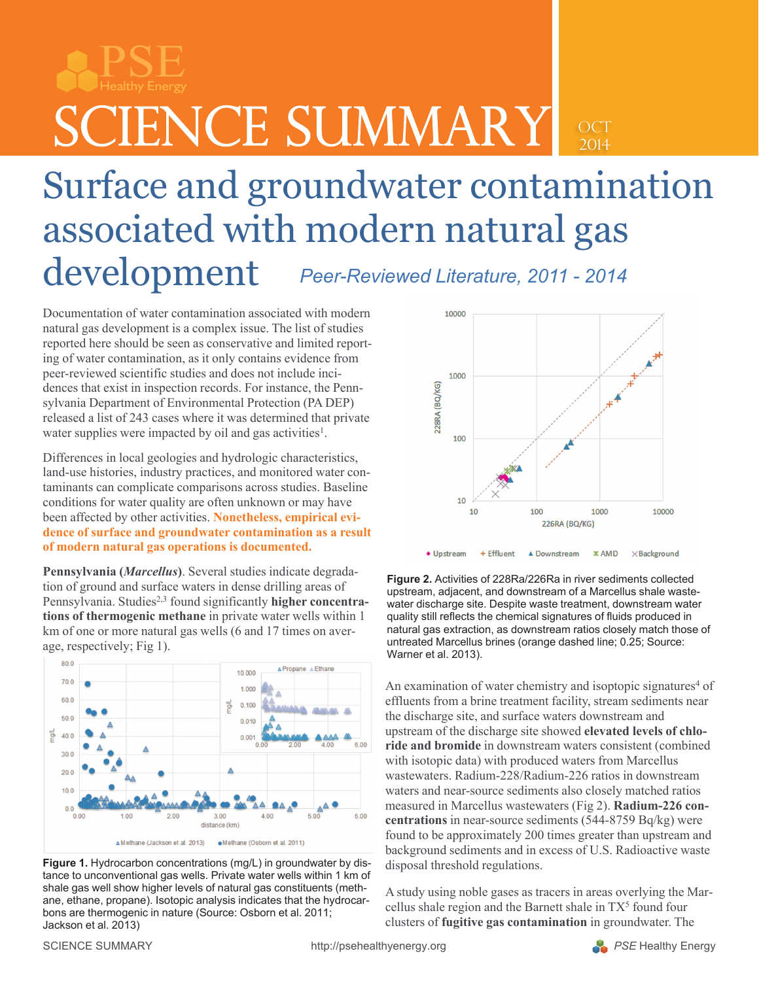PSE Healthy Energy

 $\text{SCIENCE SUMMARY}$   $_{\text{2014}}$ 

## Surface and groundwater contamination associated with modern natural gas development *Peer-Reviewed Literature, 2011 - 2014*

Documentation of water contamination associated with modern natural gas development is a complex issue. The list of studies reported here should be seen as conservative and limited reporting of water contamination, as it only contains evidence from peer-reviewed scientific studies and does not include incidences that exist in inspection records. For instance, the Pennsylvania Department of Environmental Protection (PA DEP) released a list of 243 cases where it was determined that private water supplies were impacted by oil and gas activities<sup>1</sup>.

Differences in local geologies and hydrologic characteristics, land-use histories, industry practices, and monitored water contaminants can complicate comparisons across studies. Baseline conditions for water quality are often unknown or may have been affected by other activities. **Nonetheless, empirical evidence of surface and groundwater contamination as a result of modern natural gas operations is documented.**

**Pennsylvania (***Marcellus***)**. Several studies indicate degradation of ground and surface waters in dense drilling areas of Pennsylvania. Studies<sup>2,3</sup> found significantly **higher concentrations of thermogenic methane** in private water wells within 1 km of one or more natural gas wells (6 and 17 times on average, respectively; Fig 1).



**Figure 1.** Hydrocarbon concentrations (mg/L) in groundwater by distance to unconventional gas wells. Private water wells within 1 km of shale gas well show higher levels of natural gas constituents (methane, ethane, propane). Isotopic analysis indicates that the hydrocarbons are thermogenic in nature (Source: Osborn et al. 2011; Jackson et al. 2013)



**Figure 2.** Activities of 228Ra/226Ra in river sediments collected upstream, adjacent, and downstream of a Marcellus shale wastewater discharge site. Despite waste treatment, downstream water quality still reflects the chemical signatures of fluids produced in natural gas extraction, as downstream ratios closely match those of untreated Marcellus brines (orange dashed line; 0.25; Source: Warner et al. 2013).

An examination of water chemistry and isoptopic signatures<sup>4</sup> of effluents from a brine treatment facility, stream sediments near the discharge site, and surface waters downstream and upstream of the discharge site showed **elevated levels of chloride and bromide** in downstream waters consistent (combined with isotopic data) with produced waters from Marcellus wastewaters. Radium-228/Radium-226 ratios in downstream waters and near-source sediments also closely matched ratios measured in Marcellus wastewaters (Fig 2). **Radium-226 concentrations** in near-source sediments (544-8759 Bq/kg) were found to be approximately 200 times greater than upstream and background sediments and in excess of U.S. Radioactive waste disposal threshold regulations.

A study using noble gases as tracers in areas overlying the Marcellus shale region and the Barnett shale in TX<sup>5</sup> found four clusters of **fugitive gas contamination** in groundwater. The